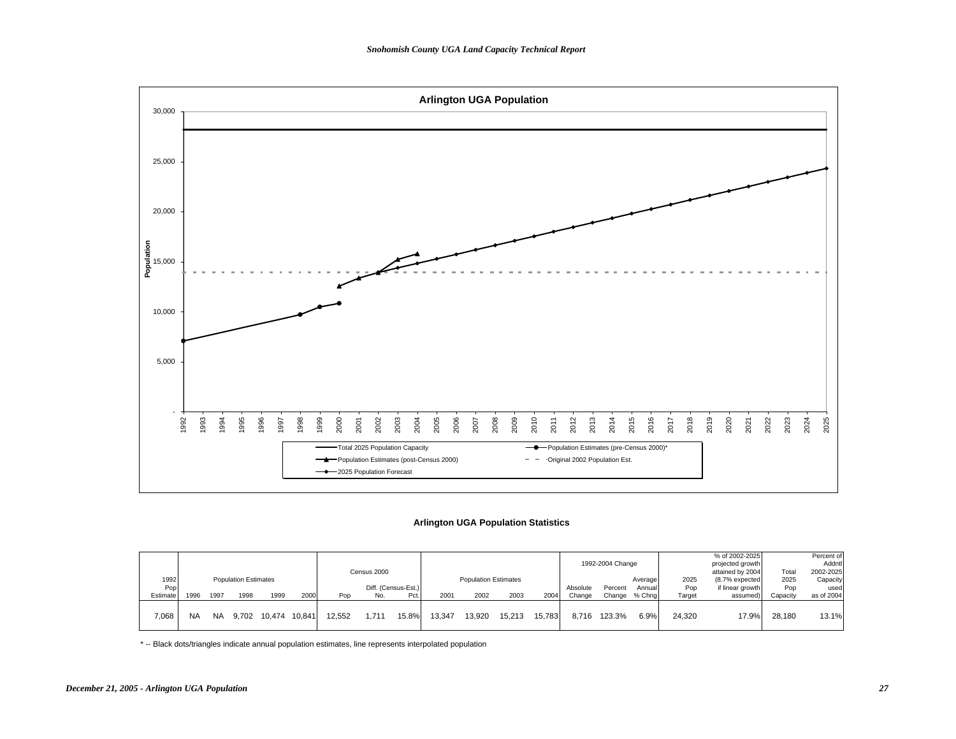

# **Arlington UGA Population Statistics**

|                         |           |           |                                     |        |        |        |                    |                             |        |                                     |        |        |                    | 1992-2004 Change  |                             |                       | % of 2002-2025<br>projected growth                                 | Total                   | Percent of<br>Addntl                        |
|-------------------------|-----------|-----------|-------------------------------------|--------|--------|--------|--------------------|-----------------------------|--------|-------------------------------------|--------|--------|--------------------|-------------------|-----------------------------|-----------------------|--------------------------------------------------------------------|-------------------------|---------------------------------------------|
| 1992<br>Pop<br>Estimate | 1996      | 1997      | <b>Population Estimates</b><br>1998 | 1999   | 2000   | Pop    | Census 2000<br>No. | Diff. (Census-Est.)<br>Pct. | 2001   | <b>Population Estimates</b><br>2002 | 2003   | 2004   | Absolute<br>Change | Percent<br>Change | Average<br>Annual<br>% Chna | 2025<br>Pop<br>Target | attained by 2004<br>(8.7% expected<br>if linear growth<br>assumed) | 2025<br>Pop<br>Capacity | 2002-2025<br>Capacity<br>used<br>as of 2004 |
| 7,068                   | <b>NA</b> | <b>NA</b> | 9.702                               | 10,474 | 10.841 | 12.552 | 1.711              | 15.8%                       | 13.347 | 13,920                              | 15.213 | 15.783 | 8.716              | 123.3%            | 6.9%                        | 24.320                | 17.9%                                                              | 28,180                  | 13.1%                                       |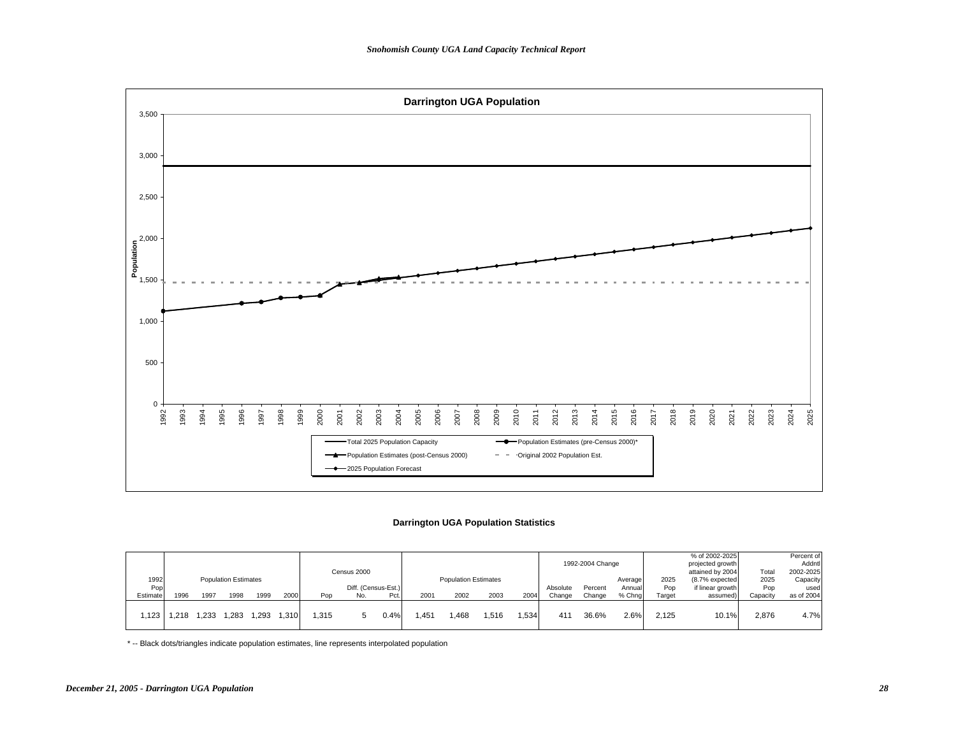

## **Darrington UGA Population Statistics**

|          |      |      |                             |       |      |      | Census 2000         |      |        |                             |      |      |          | 1992-2004 Change |         |        | % of 2002-2025<br>projected growth<br>attained by 2004 | Total    | Percent of<br>Addntl<br>2002-2025 |
|----------|------|------|-----------------------------|-------|------|------|---------------------|------|--------|-----------------------------|------|------|----------|------------------|---------|--------|--------------------------------------------------------|----------|-----------------------------------|
| 1992     |      |      | <b>Population Estimates</b> |       |      |      |                     |      |        | <b>Population Estimates</b> |      |      |          |                  | Average | 2025   | (8.7% expected                                         | 2025     | Capacity                          |
| Pop      |      |      |                             |       |      |      | Diff. (Census-Est.) |      |        |                             |      |      | Absolute | Percent          | Annual  | Pop    | if linear growth                                       | Pop      | used                              |
| Estimate | 1996 | 1997 | 1998                        | 1999  | 2000 | Pop  | No.                 | Pct. | 2001   | 2002                        | 2003 | 2004 | Change   | Change           | % Chna  | Target | assumed)                                               | Capacity | as of 2004                        |
| .123     | .218 | .233 | .283                        | 1.293 | .310 | .315 |                     | 0.4% | . .451 | .468                        | .516 | .534 | 411      | 36.6%            | 2.6%    | 2.125  | 10.1%                                                  | 2,876    | 4.7%                              |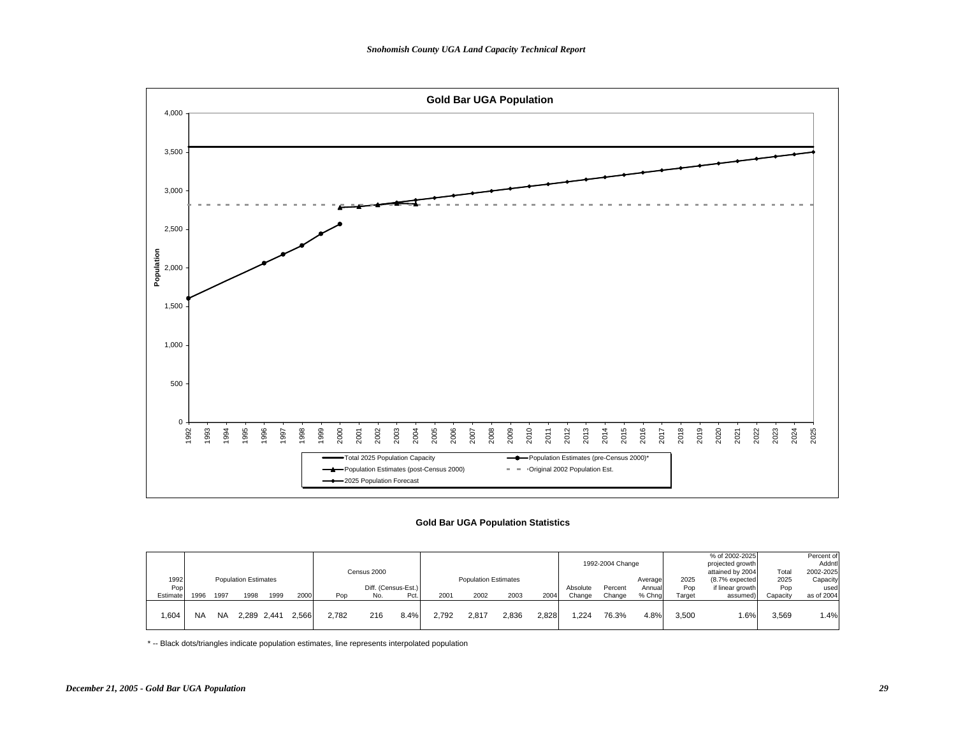

### **Gold Bar UGA Population Statistics**

|             |           |           |                             |             |       |       | Census 2000 |                     |       |                             |       |       |          | 1992-2004 Change |                   |             | % of 2002-2025<br>projected growth<br>attained by 2004 | Total       | Percent of<br>Addntl<br>2002-2025 |
|-------------|-----------|-----------|-----------------------------|-------------|-------|-------|-------------|---------------------|-------|-----------------------------|-------|-------|----------|------------------|-------------------|-------------|--------------------------------------------------------|-------------|-----------------------------------|
| 1992<br>Pop |           |           | <b>Population Estimates</b> |             |       |       |             | Diff. (Census-Est.) |       | <b>Population Estimates</b> |       |       | Absolute | Percent          | Average<br>Annual | 2025<br>Pop | (8.7% expected<br>if linear growth                     | 2025<br>Pop | Capacity<br>used                  |
| Estimate    | 1996      | 1997      | 1998                        | 1999        | 2000  | Pop   | No.         | Pct.                | 2001  | 2002                        | 2003  | 2004  | Change   | Change           | % Chng            | Target      | assumed)                                               | Capacity    | as of 2004                        |
| .604        | <b>NA</b> | <b>NA</b> |                             | 2.289 2.441 | 2.566 | 2.782 | 216         | 8.4%                | 2.792 | 2.817                       | 2.836 | 2.828 | 1.224    | 76.3%            | 4.8%              | 3.500       | $.6\%$                                                 | 3,569       | 1.4%                              |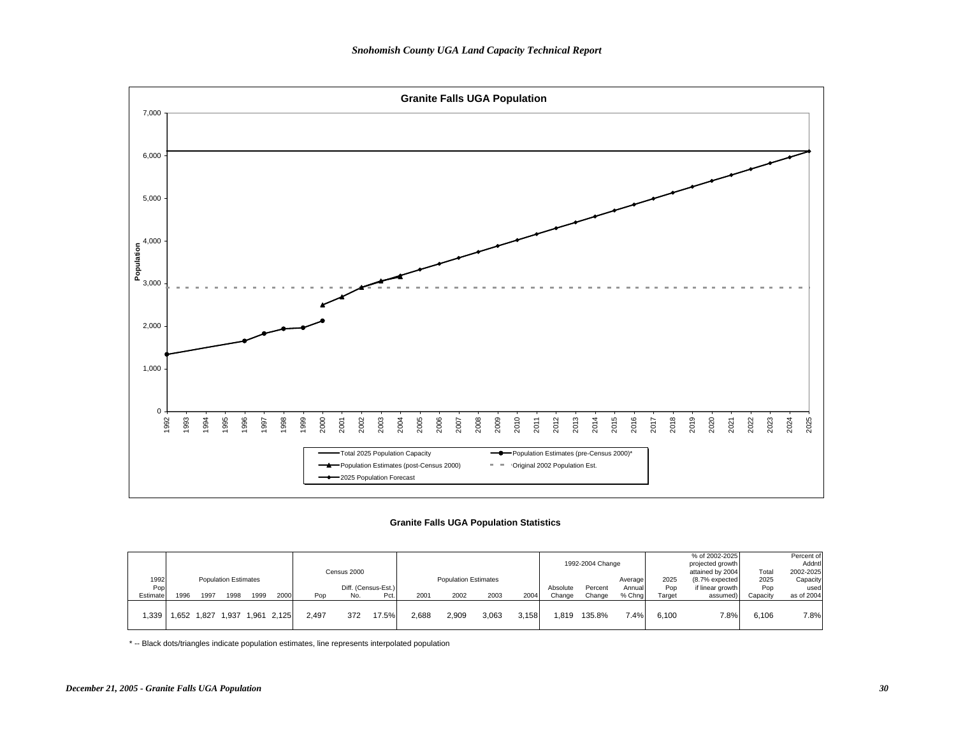

## **Granite Falls UGA Population Statistics**

|          |      |       |                             |      |             |       | Census 2000 |                     |       |                             |       |       |          | 1992-2004 Change |         |        | % of 2002-2025<br>projected growth<br>attained by 2004 | Total    | Percent of<br>Addntl<br>2002-2025 |
|----------|------|-------|-----------------------------|------|-------------|-------|-------------|---------------------|-------|-----------------------------|-------|-------|----------|------------------|---------|--------|--------------------------------------------------------|----------|-----------------------------------|
| 1992     |      |       | <b>Population Estimates</b> |      |             |       |             |                     |       | <b>Population Estimates</b> |       |       |          |                  | Average | 2025   | (8.7% expected                                         | 2025     | Capacity                          |
| Pop      |      |       |                             |      |             |       |             | Diff. (Census-Est.) |       |                             |       |       | Absolute | Percent          | Annual  | Pop    | if linear growth                                       | Pop      | used                              |
| Estimate | 1996 | 1997  | 1998                        | 1999 | 2000        | Pop   | No.         | Pct.                | 2001  | 2002                        | 2003  | 2004  | Change   | Change           | % Chna  | Target | assumed)                                               | Capacity | as of 2004                        |
| .339     | .652 | 1.827 | .937                        |      | 1.961 2.125 | 2.497 | 372         | 17.5%               | 2,688 | 2,909                       | 3.063 | 3.158 | .819     | 135.8%           | 7.4%    | 6.100  | 7.8%                                                   | 6.106    | 7.8%                              |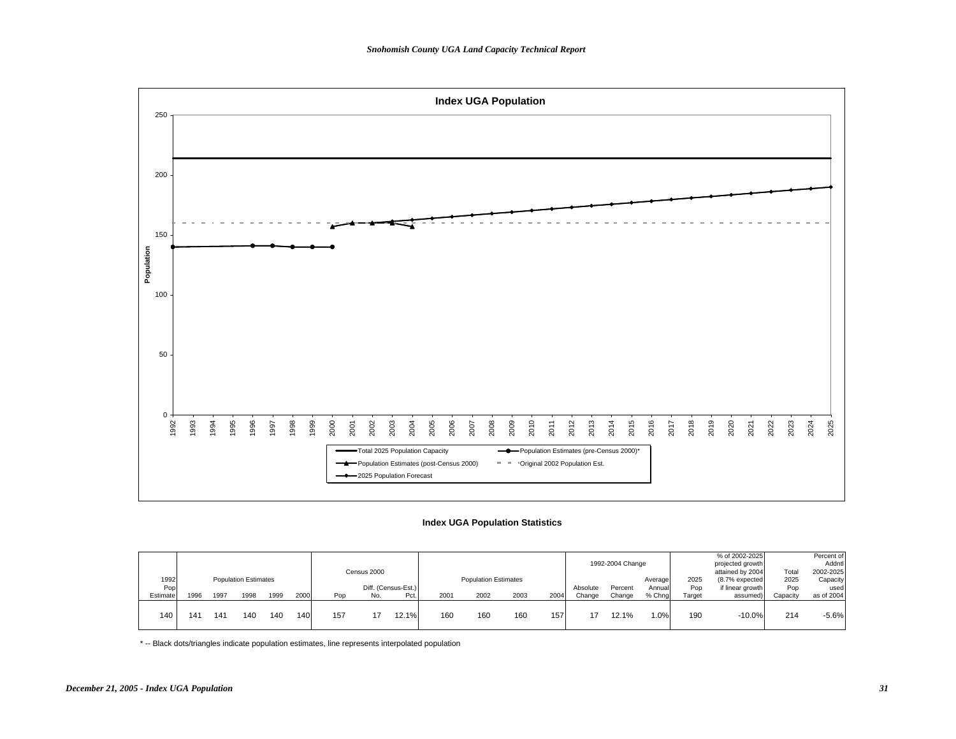

## **Index UGA Population Statistics**

|          |      |                 |                             |      |      |     |             |                     |      |                             |      |      |          |                  |         |        | % of 2002-2025   |          | Percent of |
|----------|------|-----------------|-----------------------------|------|------|-----|-------------|---------------------|------|-----------------------------|------|------|----------|------------------|---------|--------|------------------|----------|------------|
|          |      |                 |                             |      |      |     |             |                     |      |                             |      |      |          | 1992-2004 Change |         |        | projected growth |          | Addntl     |
|          |      |                 |                             |      |      |     | Census 2000 |                     |      |                             |      |      |          |                  |         |        | attained by 2004 | Total    | 2002-2025  |
| 1992     |      |                 | <b>Population Estimates</b> |      |      |     |             |                     |      | <b>Population Estimates</b> |      |      |          |                  | Average | 2025   | (8.7% expected   | 2025     | Capacity   |
| Pop      |      |                 |                             |      |      |     |             | Diff. (Census-Est.) |      |                             |      |      | Absolute | Percent          | Annual  | Pop    | if linear growth | Pop      | used       |
| Estimate | 1996 | 1997            | 1998                        | 1999 | 2000 | Pop | No.         | Pct.                | 2001 | 2002                        | 2003 | 2004 | Change   | Change           | % Chna  | Target | assumed)         | Capacity | as of 2004 |
|          |      |                 |                             |      |      |     |             |                     |      |                             |      |      |          |                  |         |        |                  |          |            |
| 140      | 141  | 14 <sup>°</sup> | 140                         | 140  | 140  | 157 |             | 12.1%               | 160  | 160                         | 160  | 157  |          | 12.1%            | $.0\%$  | 190    | $-10.0%$         | 214      | $-5.6%$    |
|          |      |                 |                             |      |      |     |             |                     |      |                             |      |      |          |                  |         |        |                  |          |            |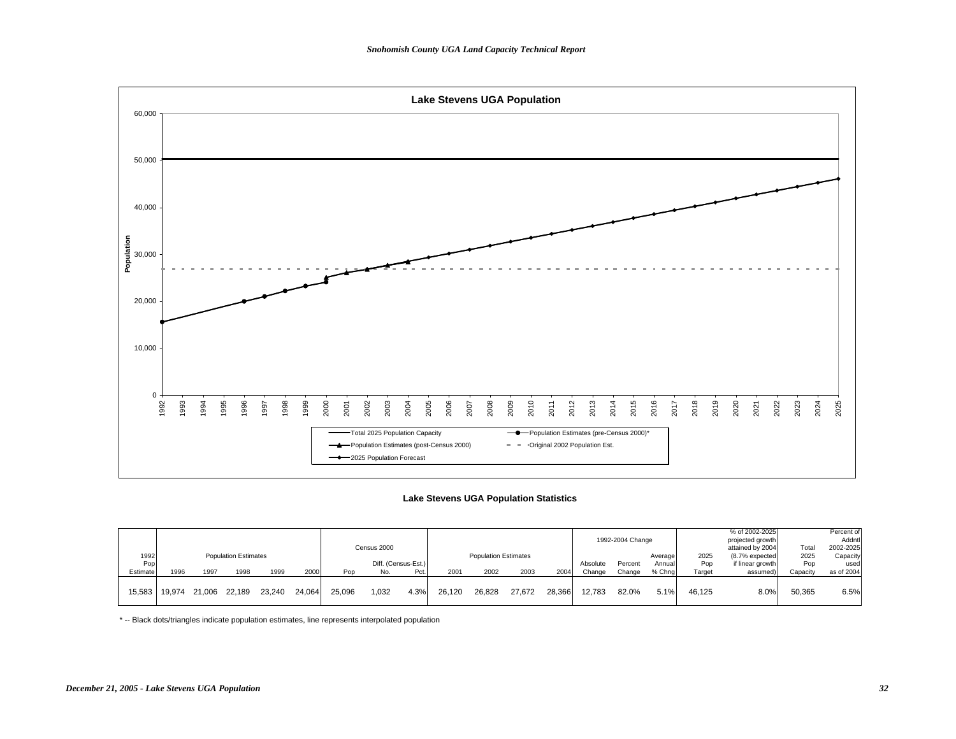

#### **Lake Stevens UGA Population Statistics**

|          |               |        |                             |        |        |        |             |                     |        |                             |        |        |          |                  |         |        | % of 2002-2025   |          | Percent of |
|----------|---------------|--------|-----------------------------|--------|--------|--------|-------------|---------------------|--------|-----------------------------|--------|--------|----------|------------------|---------|--------|------------------|----------|------------|
|          |               |        |                             |        |        |        |             |                     |        |                             |        |        |          | 1992-2004 Change |         |        | projected growth |          | Addntl     |
|          |               |        |                             |        |        |        | Census 2000 |                     |        |                             |        |        |          |                  |         |        | attained by 2004 | Total    | 2002-2025  |
| 1992     |               |        | <b>Population Estimates</b> |        |        |        |             |                     |        | <b>Population Estimates</b> |        |        |          |                  | Average | 2025   | (8.7% expected   | 2025     | Capacity   |
| Pop      |               |        |                             |        |        |        |             | Diff. (Census-Est.) |        |                             |        |        | Absolute | Percent          | Annual  | Pop    | if linear growth | Pop      | used       |
| Estimate | 1996          | 1997   | 1998                        | 1999   | 2000   | Pop    | No.         | Pct.                | 2001   | 2002                        | 2003   | 2004   | Change   | Change           | % Chng  | Target | assumed)         | Capacity | as of 2004 |
|          |               |        |                             |        |        |        |             |                     |        |                             |        |        |          |                  |         |        |                  |          |            |
|          | 15.583 19.974 | 21.006 | 22.189                      | 23.240 | 24.064 | 25.096 | 1,032       | 4.3%                | 26.120 | 26.828                      | 27.672 | 28.366 | 12.783   | 82.0%            | 5.1%    | 46.125 | 8.0%             | 50.365   | 6.5%       |
|          |               |        |                             |        |        |        |             |                     |        |                             |        |        |          |                  |         |        |                  |          |            |
|          |               |        |                             |        |        |        |             |                     |        |                             |        |        |          |                  |         |        |                  |          |            |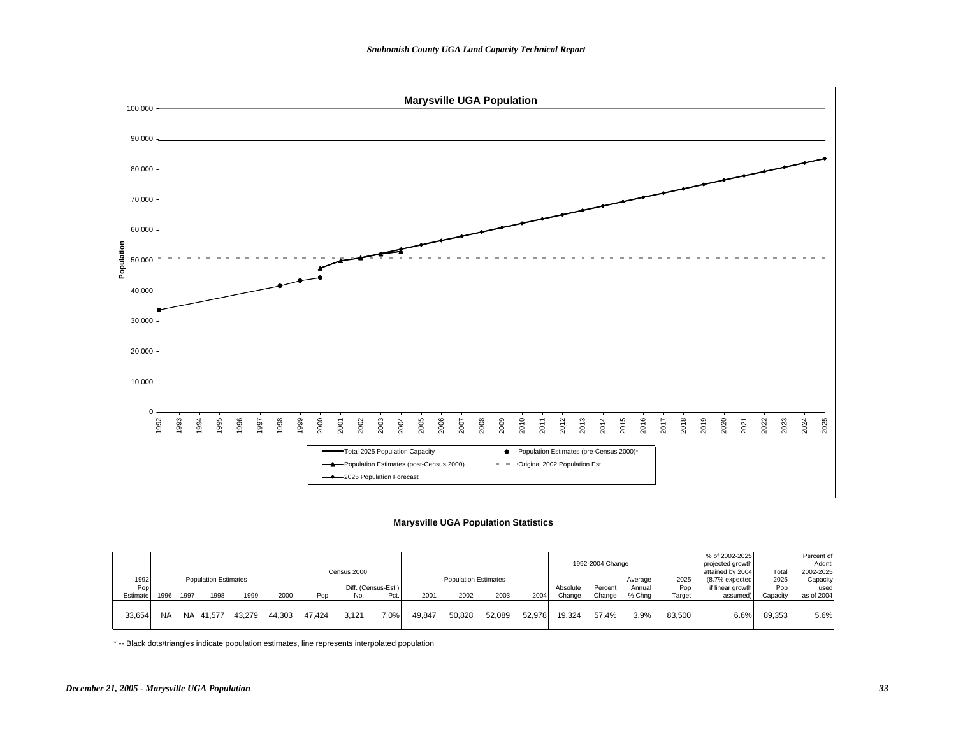

## **Marysville UGA Population Statistics**

|          |           |      |                             |        |        |        |             |                     |               |                             |        |        |          |                  |         |        | % of 2002-2025   |          | Percent of |
|----------|-----------|------|-----------------------------|--------|--------|--------|-------------|---------------------|---------------|-----------------------------|--------|--------|----------|------------------|---------|--------|------------------|----------|------------|
|          |           |      |                             |        |        |        |             |                     |               |                             |        |        |          | 1992-2004 Change |         |        | projected growth |          | Addntl     |
|          |           |      |                             |        |        |        | Census 2000 |                     |               |                             |        |        |          |                  |         |        | attained by 2004 | Total    | 2002-2025  |
| 1992     |           |      | <b>Population Estimates</b> |        |        |        |             |                     |               | <b>Population Estimates</b> |        |        |          |                  | Average | 2025   | (8.7% expected   | 2025     | Capacity   |
| Pop      |           |      |                             |        |        |        |             | Diff. (Census-Est.) |               |                             |        |        | Absolute | Percent          | Annual  | Pop    | if linear growth | Pop      | used       |
| Estimate | 1996      | 1997 | 1998                        | 1999   | 2000   | Pop    | No.         | Pct.                | $200^{\circ}$ | 2002                        | 2003   | 2004   | Change   | Change           | % Chng  | Target | assumed)         | Capacity | as of 2004 |
|          |           |      |                             |        |        |        |             |                     |               |                             |        |        |          |                  |         |        |                  |          |            |
| 33,654   | <b>NA</b> |      | NA 41.577                   | 43.279 | 44.303 | 47.424 | 3.121       | $7.0\%$             | 49,847        | 50,828                      | 52.089 | 52.978 | 19.324   | 57.4%            | 3.9%    | 83,500 | 6.6%             | 89,353   | 5.6%       |
|          |           |      |                             |        |        |        |             |                     |               |                             |        |        |          |                  |         |        |                  |          |            |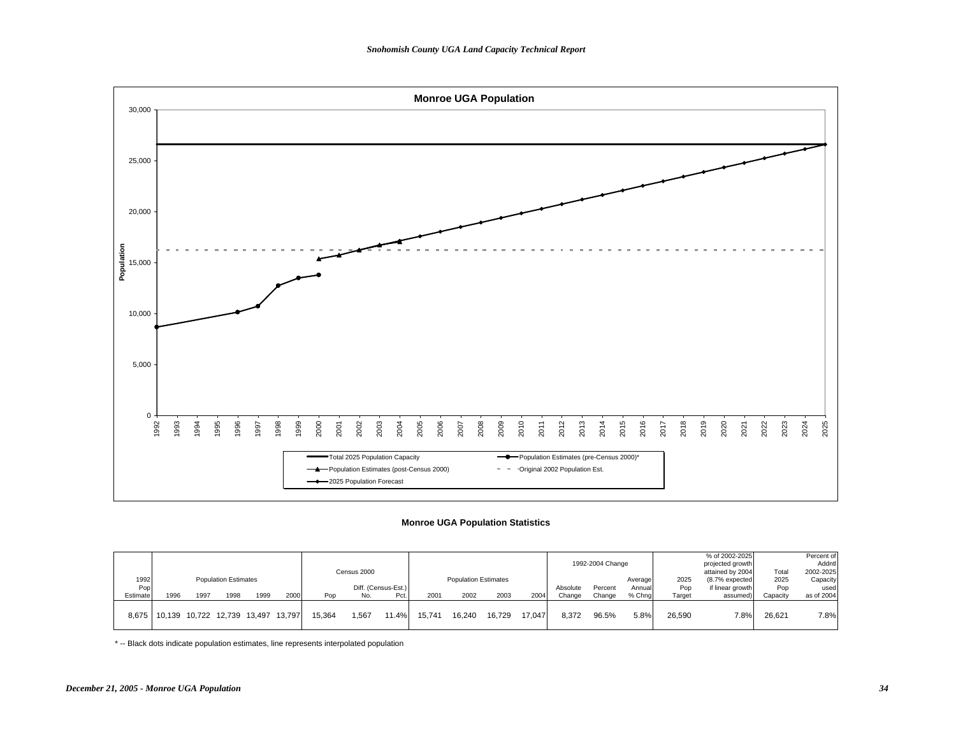

### **Monroe UGA Population Statistics**

|          |                                     |      |                             |      |        |        |             |                     |        |                             |        |        |          |                  |         |        | % of 2002-2025   |          | Percent of |
|----------|-------------------------------------|------|-----------------------------|------|--------|--------|-------------|---------------------|--------|-----------------------------|--------|--------|----------|------------------|---------|--------|------------------|----------|------------|
|          |                                     |      |                             |      |        |        |             |                     |        |                             |        |        |          | 1992-2004 Change |         |        | projected growth |          | Addntl     |
|          |                                     |      |                             |      |        |        | Census 2000 |                     |        |                             |        |        |          |                  |         |        | attained by 2004 | Total    | 2002-2025  |
| 1992     |                                     |      | <b>Population Estimates</b> |      |        |        |             |                     |        | <b>Population Estimates</b> |        |        |          |                  | Average | 2025   | (8.7% expected   | 2025     | Capacity   |
| Pop      |                                     |      |                             |      |        |        |             | Diff. (Census-Est.) |        |                             |        |        | Absolute | Percent          | Annual  | Pop    | if linear growth | Pop      | used       |
| Estimate | 1996                                | 1997 | 1998                        | 1999 | 2000   | Pop    | No.         | Pct                 | 2001   | 2002                        | 2003   | 2004   | Change   | Change           | % Chng  | Target | assumed)         | Capacity | as of 2004 |
|          |                                     |      |                             |      |        |        |             |                     |        |                             |        |        |          |                  |         |        |                  |          |            |
|          | 8,675   10,139 10,722 12,739 13,497 |      |                             |      | 13.797 | 15.364 | 1.567       | $11.4\%$            | 15.741 | 16.240                      | 16.729 | 17.047 | 8.372    | 96.5%            | 5.8%    | 26,590 | 7.8%             | 26.621   | 7.8%       |
|          |                                     |      |                             |      |        |        |             |                     |        |                             |        |        |          |                  |         |        |                  |          |            |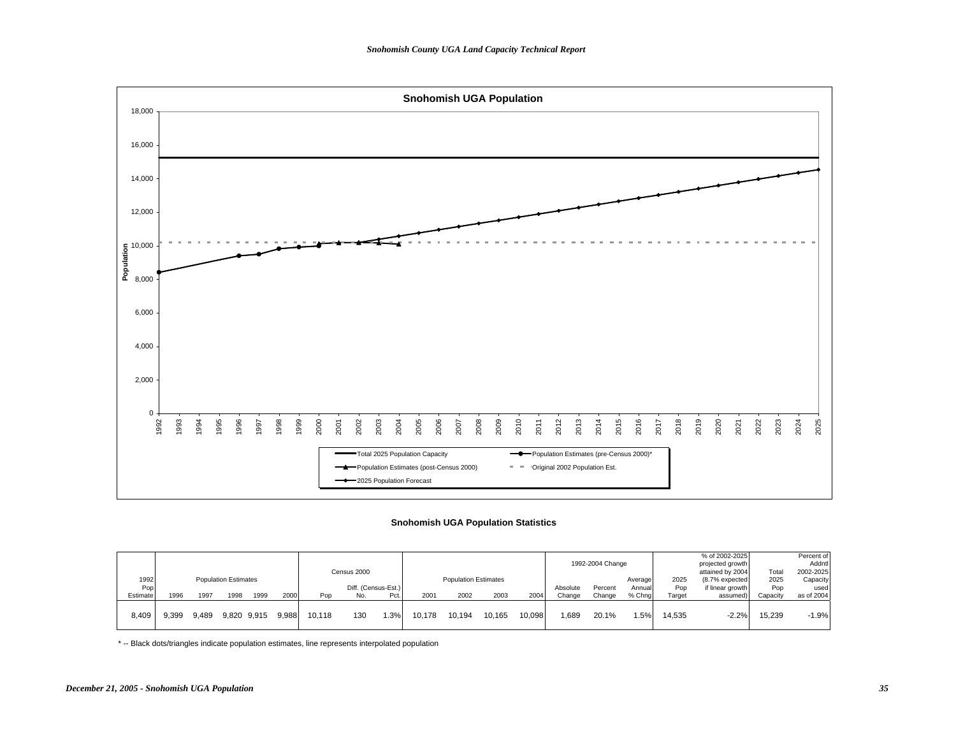

### **Snohomish UGA Population Statistics**

|          |       |       |                             |      |       |        |             |                     |        |                             |        |        |          |                  |         |        | % of 2002-2025   |          | Percent of |
|----------|-------|-------|-----------------------------|------|-------|--------|-------------|---------------------|--------|-----------------------------|--------|--------|----------|------------------|---------|--------|------------------|----------|------------|
|          |       |       |                             |      |       |        |             |                     |        |                             |        |        |          | 1992-2004 Change |         |        | projected growth |          | Addntl     |
|          |       |       |                             |      |       |        | Census 2000 |                     |        |                             |        |        |          |                  |         |        | attained by 2004 | Total    | 2002-2025  |
| 1992     |       |       | <b>Population Estimates</b> |      |       |        |             |                     |        | <b>Population Estimates</b> |        |        |          |                  | Average | 2025   | (8.7% expected   | 2025     | Capacity   |
| Pop      |       |       |                             |      |       |        |             | Diff. (Census-Est.) |        |                             |        |        | Absolute | Percent          | Annual  | Pop    | if linear growth | Pop      | used       |
| Estimate | 1996  | 1997  | 1998                        | 1999 | 2000  | Pop    | No.         | Pct.                | 2001   | 2002                        | 2003   | 2004   | Change   | Change           | % Chna  | Target | assumed          | Capacity | as of 2004 |
|          |       |       |                             |      |       |        |             |                     |        |                             |        |        |          |                  |         |        |                  |          |            |
| 8,409    | 9.399 | 9.489 | 9,820 9,915                 |      | 9.988 | 10.118 | 130         | .3%                 | 10.178 | 10.194                      | 10.165 | 10.098 | .689     | 20.1%            | .5%     | 14.535 | $-2.2%$          | 15,239   | $-1.9%$    |
|          |       |       |                             |      |       |        |             |                     |        |                             |        |        |          |                  |         |        |                  |          |            |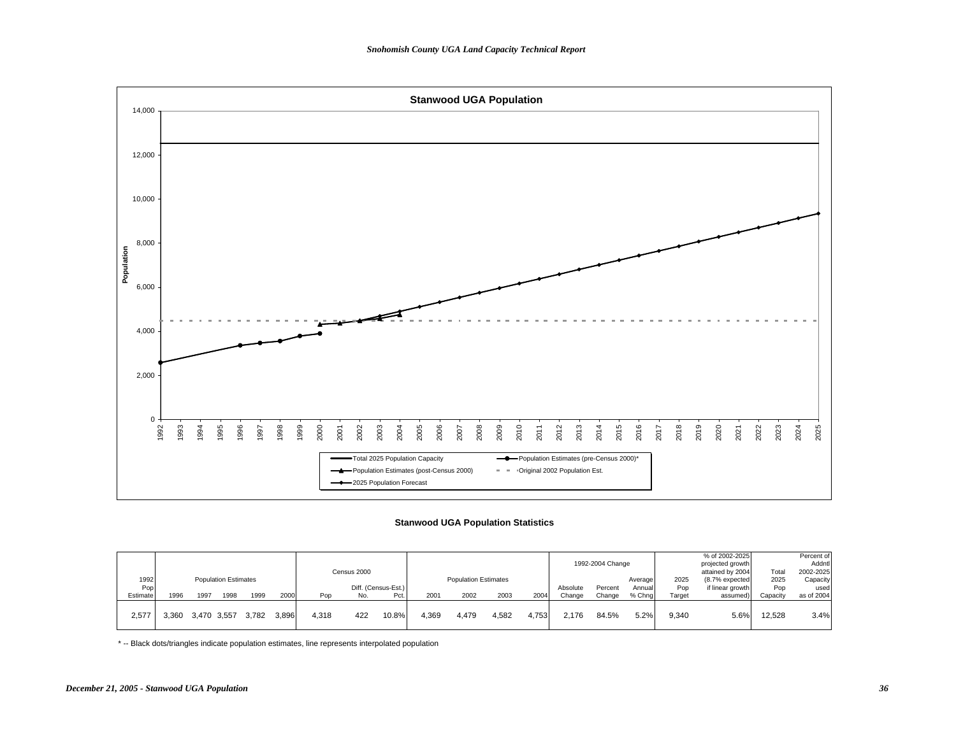

## **Stanwood UGA Population Statistics**

|          |       |             |                             |       |       |       |             |                     |       |                             |       |       |          |                  |         |        | % of 2002-2025   |          | Percent of |
|----------|-------|-------------|-----------------------------|-------|-------|-------|-------------|---------------------|-------|-----------------------------|-------|-------|----------|------------------|---------|--------|------------------|----------|------------|
|          |       |             |                             |       |       |       |             |                     |       |                             |       |       |          | 1992-2004 Change |         |        | projected growth |          | Addntl     |
|          |       |             |                             |       |       |       | Census 2000 |                     |       |                             |       |       |          |                  |         |        | attained by 2004 | Total    | 2002-2025  |
| 1992     |       |             | <b>Population Estimates</b> |       |       |       |             |                     |       | <b>Population Estimates</b> |       |       |          |                  | Average | 2025   | (8.7% expected   | 2025     | Capacity   |
| Pop      |       |             |                             |       |       |       |             | Diff. (Census-Est.) |       |                             |       |       | Absolute | Percent          | Annuall | Pop    | if linear growth | Pop      | used       |
| Estimate | 1996  | 1997        | 1998                        | 1999  | 2000  | Pop   | No.         | Pct.                | 2001  | 2002                        | 2003  | 2004  | Change   | Change           | % Chna  | Target | assumed)         | Capacity | as of 2004 |
|          |       |             |                             |       |       |       |             |                     |       |                             |       |       |          |                  |         |        |                  |          |            |
| 2,577    | 3.360 | 3,470 3,557 |                             | 3.782 | 3.896 | 4,318 | 422         | 10.8%               | 4.369 | 4,479                       | 4,582 | 4.753 | 2.176    | 84.5%            | 5.2%    | 9,340  | 5.6%             | 12,528   | 3.4%       |
|          |       |             |                             |       |       |       |             |                     |       |                             |       |       |          |                  |         |        |                  |          |            |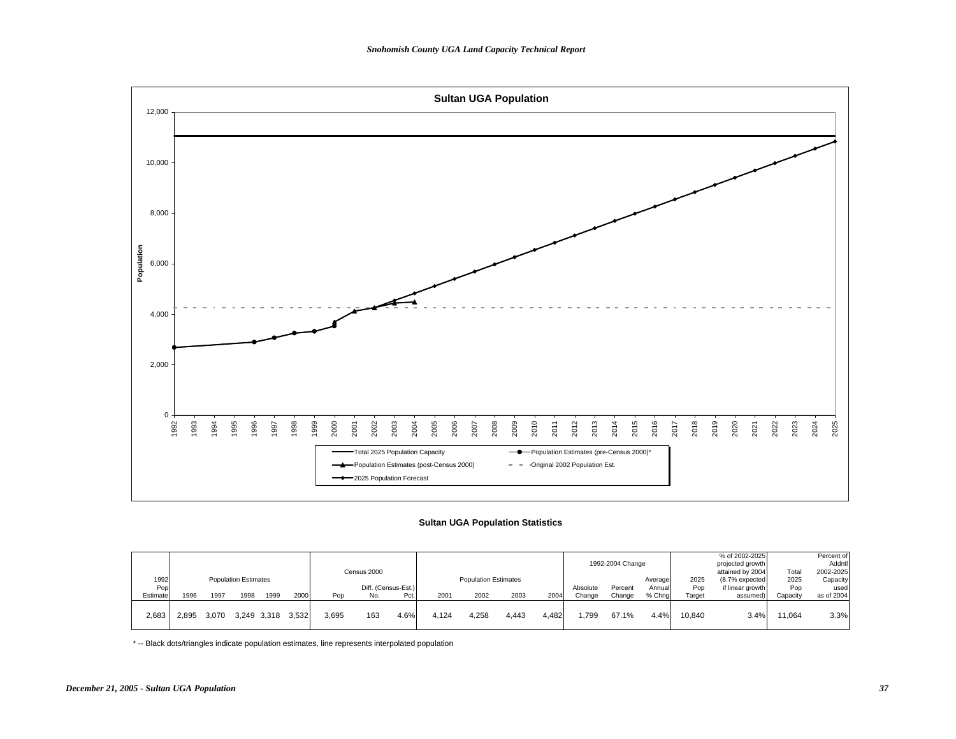

## **Sultan UGA Population Statistics**

|          |       |       |                             |             |       |       |             |                     |       |                             |       |         |          |                  |         |        | % of 2002-2025   |          | Percent of |
|----------|-------|-------|-----------------------------|-------------|-------|-------|-------------|---------------------|-------|-----------------------------|-------|---------|----------|------------------|---------|--------|------------------|----------|------------|
|          |       |       |                             |             |       |       |             |                     |       |                             |       |         |          | 1992-2004 Change |         |        | projected growth |          | Addntl     |
|          |       |       |                             |             |       |       | Census 2000 |                     |       |                             |       |         |          |                  |         |        | attained by 2004 | Tota     | 2002-2025  |
| 1992     |       |       | <b>Population Estimates</b> |             |       |       |             |                     |       | <b>Population Estimates</b> |       |         |          |                  | Average | 2025   | (8.7% expected   | 2025     | Capacity   |
| Pop      |       |       |                             |             |       |       |             | Diff. (Census-Est.) |       |                             |       |         | Absolute | Percent          | Annual  | Pop    | if linear growth | Pop      | used       |
| Estimate | 1996  | 1997  | 1998                        | 1999        | 2000  | Pop   | No.         | Pct.                | 2001  | 2002                        | 2003  | 2004    | Change   | Change           | % Chng  | Target | assumed)         | Capacity | as of 2004 |
|          |       |       |                             |             |       |       |             |                     |       |                             |       |         |          |                  |         |        |                  |          |            |
| 2,683    | 2.895 | 3.070 |                             | 3.249 3.318 | 3.532 | 3,695 | 163         | 4.6%                | 4.124 | 4,258                       | 4.443 | ا 482.، | .799     | 67.1%            | 4.4%    | 10.840 | 3.4%             | 11,064   | 3.3%       |
|          |       |       |                             |             |       |       |             |                     |       |                             |       |         |          |                  |         |        |                  |          |            |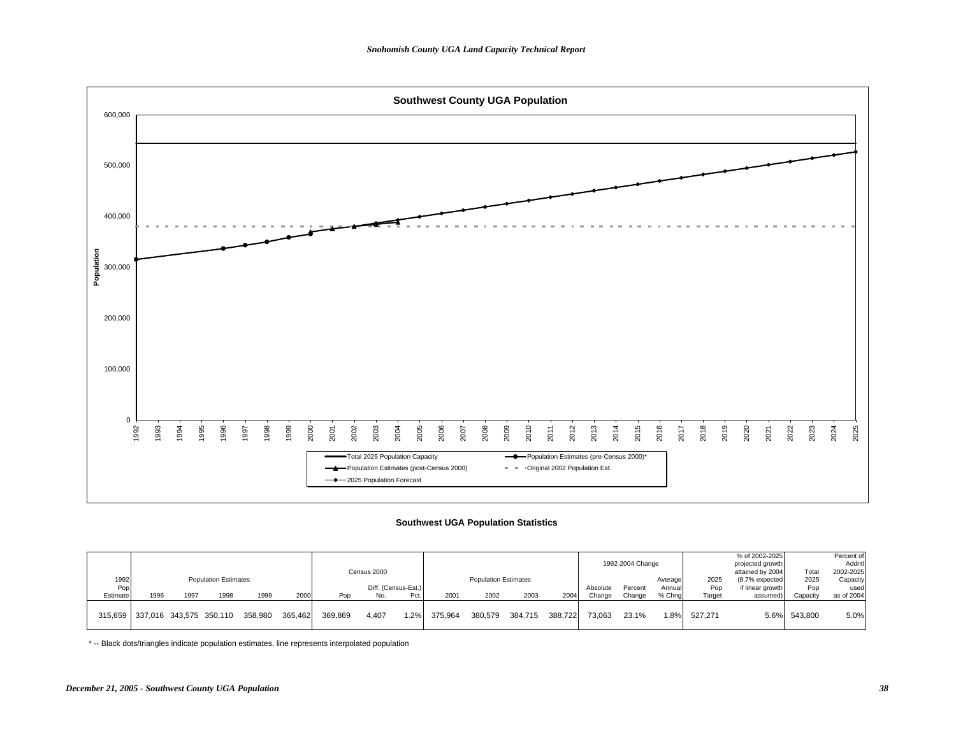

### **Southwest UGA Population Statistics**

|          |      |      |                                 |         |         |         |                     |      |         |                             |         |         |          | 1992-2004 Change |         |         | % of 2002-2025<br>projected growth |              | Percent of<br>Addntl |
|----------|------|------|---------------------------------|---------|---------|---------|---------------------|------|---------|-----------------------------|---------|---------|----------|------------------|---------|---------|------------------------------------|--------------|----------------------|
|          |      |      |                                 |         |         |         | Census 2000         |      |         |                             |         |         |          |                  |         |         | attained by 2004                   | Total        | 2002-2025            |
| 1992     |      |      | <b>Population Estimates</b>     |         |         |         |                     |      |         | <b>Population Estimates</b> |         |         |          |                  | Average | 2025    | (8.7% expected                     | 2025         | Capacity             |
| Pop      |      |      |                                 |         |         |         | Diff. (Census-Est.) |      |         |                             |         |         | Absolute | Percent          | Annuall | Pop     | if linear growth                   | Pop          | used                 |
| Estimate | 1996 | 1997 | 1998                            | 1999    | 2000    | Pop     | No.                 | Pct. | 2001    | 2002                        | 2003    | 2004    | Change   | Change           | % Chng  | Target  | assumed)                           | Capacity     | as of 2004           |
|          |      |      | 315,659 337,016 343,575 350,110 | 358.980 | 365.462 | 369.869 | 4.407               | 1.2% | 375.964 | 380.579                     | 384.715 | 388.722 | 73.063   | 23.1%            | 1.8%    | 527.271 |                                    | 5.6% 543.800 | 5.0%                 |